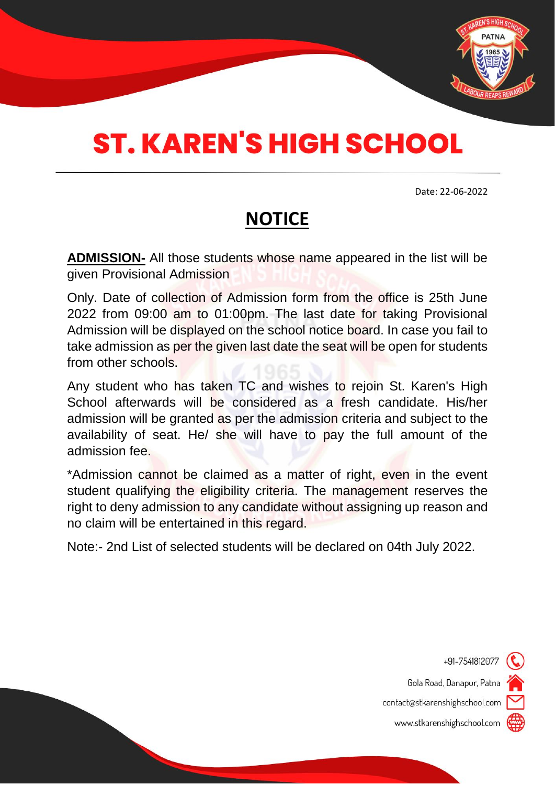

# **ST. KAREN'S HIGH SCHOOL**

Date: 22-06-2022

# **NOTICE**

**ADMISSION-** All those students whose name appeared in the list will be given Provisional Admission

Only. Date of collection of Admission form from the office is 25th June 2022 from 09:00 am to 01:00pm. The last date for taking Provisional Admission will be displayed on the school notice board. In case you fail to take admission as per the given last date the seat will be open for students from other schools.

Any student who has taken TC and wishes to rejoin St. Karen's High School afterwards will be considered as a fresh candidate. His/her admission will be granted as per the admission criteria and subject to the availability of seat. He/ she will have to pay the full amount of the admission fee.

\*Admission cannot be claimed as a matter of right, even in the event student qualifying the eligibility criteria. The management reserves the right to deny admission to any candidate without assigning up reason and no claim will be entertained in this regard.

Note:- 2nd List of selected students will be declared on 04th July 2022.



Gola Road, Danapur, Patna

contact@stkarenshighschool.com

www.stkarenshighschool.com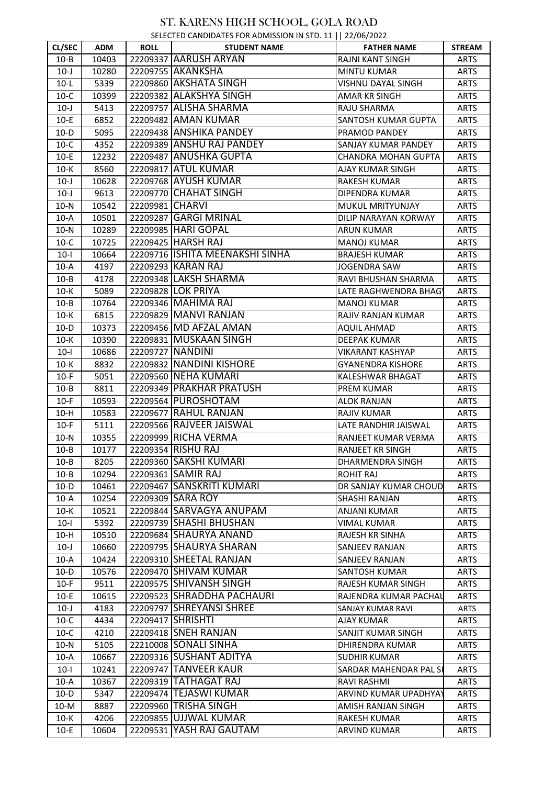#### SELECTED CANDIDATES FOR ADMISSION IN STD. 11 || 22/06/2022

|          |            |                 | 3.221                           |                          |               |
|----------|------------|-----------------|---------------------------------|--------------------------|---------------|
| CL/SEC   | <b>ADM</b> | <b>ROLL</b>     | <b>STUDENT NAME</b>             | <b>FATHER NAME</b>       | <b>STREAM</b> |
| $10 - B$ | 10403      |                 | 22209337 AARUSH ARYAN           | RAJNI KANT SINGH         | <b>ARTS</b>   |
| $10-J$   | 10280      |                 | 22209755 AKANKSHA               | <b>MINTU KUMAR</b>       | <b>ARTS</b>   |
| $10-L$   | 5339       |                 | 22209860 AKSHATA SINGH          | VISHNU DAYAL SINGH       | <b>ARTS</b>   |
| $10-C$   | 10399      |                 | 22209382 ALAKSHYA SINGH         | <b>AMAR KR SINGH</b>     | <b>ARTS</b>   |
| $10-J$   | 5413       |                 | 22209757 ALISHA SHARMA          | RAJU SHARMA              | <b>ARTS</b>   |
| $10-E$   | 6852       |                 | 22209482 AMAN KUMAR             | SANTOSH KUMAR GUPTA      | <b>ARTS</b>   |
| $10-D$   | 5095       |                 | 22209438 ANSHIKA PANDEY         | PRAMOD PANDEY            | <b>ARTS</b>   |
| $10-C$   | 4352       |                 | 22209389 ANSHU RAJ PANDEY       | SANJAY KUMAR PANDEY      | <b>ARTS</b>   |
| $10-E$   | 12232      |                 | 22209487 ANUSHKA GUPTA          | CHANDRA MOHAN GUPTA      | <b>ARTS</b>   |
| $10-K$   | 8560       |                 | 22209817 ATUL KUMAR             | AJAY KUMAR SINGH         | <b>ARTS</b>   |
| $10-J$   | 10628      |                 | 22209768 AYUSH KUMAR            | <b>RAKESH KUMAR</b>      | <b>ARTS</b>   |
| $10-J$   | 9613       |                 | 22209770 CHAHAT SINGH           | DIPENDRA KUMAR           | ARTS          |
| $10-N$   | 10542      | 22209981 CHARVI |                                 | MUKUL MRITYUNJAY         | <b>ARTS</b>   |
| $10-A$   | 10501      |                 | 22209287 GARGI MRINAL           | DILIP NARAYAN KORWAY     | <b>ARTS</b>   |
| $10-N$   | 10289      |                 | 22209985 HARI GOPAL             | <b>ARUN KUMAR</b>        | <b>ARTS</b>   |
| $10-C$   | 10725      |                 | 22209425 HARSH RAJ              | <b>MANOJ KUMAR</b>       | <b>ARTS</b>   |
| $10-I$   | 10664      |                 | 22209716 ISHITA MEENAKSHI SINHA | <b>BRAJESH KUMAR</b>     | <b>ARTS</b>   |
| $10-A$   | 4197       |                 | 22209293 KARAN RAJ              | <b>JOGENDRA SAW</b>      | <b>ARTS</b>   |
| $10 - B$ | 4178       |                 | 22209348 LAKSH SHARMA           | RAVI BHUSHAN SHARMA      | <b>ARTS</b>   |
| $10-K$   | 5089       |                 | 22209828 LOK PRIYA              | LATE RAGHWENDRA BHAG'    | <b>ARTS</b>   |
| $10 - B$ | 10764      |                 | 22209346 MAHIMA RAJ             | <b>MANOJ KUMAR</b>       | <b>ARTS</b>   |
| $10-K$   | 6815       |                 | 22209829 MANVI RANJAN           | RAJIV RANJAN KUMAR       | <b>ARTS</b>   |
| $10-D$   | 10373      |                 | 22209456 MD AFZAL AMAN          | <b>AQUIL AHMAD</b>       | ARTS          |
| $10-K$   | 10390      |                 | 22209831 MUSKAAN SINGH          | DEEPAK KUMAR             | <b>ARTS</b>   |
| $10-I$   | 10686      |                 | 22209727 NANDINI                | VIKARANT KASHYAP         | <b>ARTS</b>   |
| $10-K$   | 8832       |                 | 22209832 NANDINI KISHORE        | <b>GYANENDRA KISHORE</b> | <b>ARTS</b>   |
| $10-F$   | 5051       |                 | 22209560 NEHA KUMARI            | KALESHWAR BHAGAT         | <b>ARTS</b>   |
| $10 - B$ | 8811       |                 | 22209349 PRAKHAR PRATUSH        | <b>PREM KUMAR</b>        | <b>ARTS</b>   |
| $10-F$   | 10593      |                 | 22209564 PUROSHOTAM             | <b>ALOK RANJAN</b>       | <b>ARTS</b>   |
| $10-H$   | 10583      |                 | 22209677 RAHUL RANJAN           | <b>RAJIV KUMAR</b>       | <b>ARTS</b>   |
| $10-F$   | 5111       |                 | 22209566 RAJVEER JAISWAL        | LATE RANDHIR JAISWAL     | <b>ARTS</b>   |
| $10-N$   | 10355      |                 | 22209999 RICHA VERMA            | RANJEET KUMAR VERMA      | <b>ARTS</b>   |
| $10 - B$ | 10177      |                 | 22209354 RISHU RAJ              | <b>RANJEET KR SINGH</b>  | <b>ARTS</b>   |
| $10 - B$ | 8205       |                 | 22209360 SAKSHI KUMARI          | DHARMENDRA SINGH         | ARTS          |
| $10 - B$ | 10294      |                 | 22209361 SAMIR RAJ              | <b>ROHIT RAJ</b>         | <b>ARTS</b>   |
| $10-D$   | 10461      |                 | 22209467 SANSKRITI KUMARI       | DR SANJAY KUMAR CHOUD    | <b>ARTS</b>   |
| $10-A$   | 10254      |                 | 22209309 SARA ROY               | SHASHI RANJAN            | ARTS          |
| $10-K$   | 10521      |                 | 22209844 SARVAGYA ANUPAM        | ANJANI KUMAR             | <b>ARTS</b>   |
| $10-I$   | 5392       |                 | 22209739 SHASHI BHUSHAN         | <b>VIMAL KUMAR</b>       | <b>ARTS</b>   |
| $10-H$   | 10510      |                 | 22209684 SHAURYA ANAND          | <b>RAJESH KR SINHA</b>   | ARTS          |
| $10-J$   | 10660      |                 | 22209795 SHAURYA SHARAN         | SANJEEV RANJAN           | <b>ARTS</b>   |
| $10-A$   | 10424      |                 | 22209310 SHEETAL RANJAN         | SANJEEV RANJAN           | ARTS          |
| $10-D$   | 10576      |                 | 22209470 SHIVAM KUMAR           | <b>SANTOSH KUMAR</b>     | <b>ARTS</b>   |
| $10-F$   | 9511       |                 | 22209575 SHIVANSH SINGH         | RAJESH KUMAR SINGH       | <b>ARTS</b>   |
| $10-E$   | 10615      |                 | 22209523 SHRADDHA PACHAURI      | RAJENDRA KUMAR PACHAU    | <b>ARTS</b>   |
| $10-J$   | 4183       |                 | 22209797 SHREYANSI SHREE        | SANJAY KUMAR RAVI        | ARTS          |
| $10-C$   | 4434       |                 | 22209417 SHRISHTI               | AJAY KUMAR               | <b>ARTS</b>   |
| $10-C$   | 4210       |                 | 22209418 SNEH RANJAN            | SANJIT KUMAR SINGH       | <b>ARTS</b>   |
| $10-N$   | 5105       |                 | 22210008 SONALI SINHA           | DHIRENDRA KUMAR          | <b>ARTS</b>   |
| $10-A$   | 10667      |                 | 22209316 SUSHANT ADITYA         | <b>SUDHIR KUMAR</b>      | <b>ARTS</b>   |
| $10-I$   | 10241      |                 | 22209747 TANVEER KAUR           | SARDAR MAHENDAR PAL SI   | ARTS          |
| $10-A$   | 10367      |                 | 22209319 TATHAGAT RAJ           | RAVI RASHMI              | <b>ARTS</b>   |
| $10-D$   | 5347       |                 | 22209474 TEJASWI KUMAR          | ARVIND KUMAR UPADHYAY    | <b>ARTS</b>   |
| $10-M$   | 8887       |                 | 22209960 TRISHA SINGH           | AMISH RANJAN SINGH       | <b>ARTS</b>   |
| $10-K$   | 4206       |                 | 22209855 UJJWAL KUMAR           | <b>RAKESH KUMAR</b>      | ARTS          |
| $10-E$   | 10604      |                 | 22209531 YASH RAJ GAUTAM        | <b>ARVIND KUMAR</b>      | <b>ARTS</b>   |
|          |            |                 |                                 |                          |               |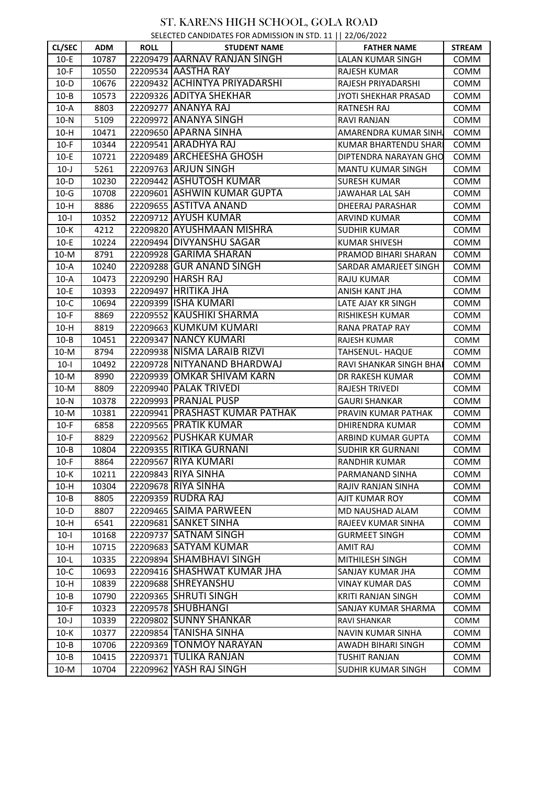| SELECTED CANDIDATES FOR ADMISSION IN STD. 11   22/06/2022 |  |  |
|-----------------------------------------------------------|--|--|
|                                                           |  |  |

| <b>CL/SEC</b> | <b>ADM</b> | <b>ROLL</b> | $S = \begin{bmatrix} 1 & 2 & 3 \\ 0 & 1 & 1 \end{bmatrix}$<br><b>STUDENT NAME</b> | <b>FATHER NAME</b>           | <b>STREAM</b> |
|---------------|------------|-------------|-----------------------------------------------------------------------------------|------------------------------|---------------|
| $10-E$        | 10787      |             | 22209479 AARNAV RANJAN SINGH                                                      | LALAN KUMAR SINGH            | COMM          |
| $10-F$        | 10550      |             | 22209534 AASTHA RAY                                                               | RAJESH KUMAR                 | COMM          |
| $10-D$        | 10676      |             | 22209432 ACHINTYA PRIYADARSHI                                                     | RAJESH PRIYADARSHI           | <b>COMM</b>   |
| $10 - B$      | 10573      |             | 22209326 ADITYA SHEKHAR                                                           | JYOTI SHEKHAR PRASAD         | COMM          |
| $10-A$        | 8803       |             | 22209277 ANANYA RAJ                                                               | RATNESH RAJ                  | COMM          |
| $10-N$        | 5109       |             | 22209972 ANANYA SINGH                                                             | <b>RAVI RANJAN</b>           | COMM          |
| $10-H$        | 10471      |             | 22209650 APARNA SINHA                                                             | AMARENDRA KUMAR SINH.        | COMM          |
| $10-F$        | 10344      |             | 22209541 ARADHYA RAJ                                                              | <b>KUMAR BHARTENDU SHARI</b> | COMM          |
| $10-E$        | 10721      |             | 22209489 ARCHEESHA GHOSH                                                          | DIPTENDRA NARAYAN GHO        | <b>COMM</b>   |
| $10-J$        | 5261       |             | 22209763 ARJUN SINGH                                                              | <b>MANTU KUMAR SINGH</b>     | COMM          |
| $10-D$        | 10230      |             | 22209442 ASHUTOSH KUMAR                                                           | <b>SURESH KUMAR</b>          | COMM          |
| $10-G$        | 10708      |             | 22209601 ASHWIN KUMAR GUPTA                                                       | JAWAHAR LAL SAH              | <b>COMM</b>   |
| $10-H$        | 8886       |             | 22209655 ASTITVA ANAND                                                            | DHEERAJ PARASHAR             | COMM          |
| $10-I$        | 10352      |             | 22209712 AYUSH KUMAR                                                              | <b>ARVIND KUMAR</b>          | COMM          |
| $10-K$        | 4212       |             | 22209820 AYUSHMAAN MISHRA                                                         | <b>SUDHIR KUMAR</b>          | COMM          |
| $10-E$        | 10224      |             | 22209494 DIVYANSHU SAGAR                                                          | <b>KUMAR SHIVESH</b>         | COMM          |
| $10-M$        | 8791       |             | 22209928 GARIMA SHARAN                                                            | PRAMOD BIHARI SHARAN         | COMM          |
| $10-A$        | 10240      |             | 22209288 GUR ANAND SINGH                                                          | SARDAR AMARJEET SINGH        | COMM          |
| $10-A$        | 10473      |             | 22209290 HARSH RAJ                                                                | <b>RAJU KUMAR</b>            | COMM          |
| $10-E$        | 10393      |             | 22209497 HRITIKA JHA                                                              | ANISH KANT JHA               | <b>COMM</b>   |
| $10-C$        | 10694      |             | 22209399 ISHA KUMARI                                                              | LATE AJAY KR SINGH           | COMM          |
| $10-F$        | 8869       |             | 22209552 KAUSHIKI SHARMA                                                          | RISHIKESH KUMAR              | COMM          |
| $10-H$        | 8819       |             | 22209663 KUMKUM KUMARI                                                            | RANA PRATAP RAY              | <b>COMM</b>   |
| $10 - B$      | 10451      |             | 22209347 NANCY KUMARI                                                             | RAJESH KUMAR                 | COMM          |
| $10-M$        | 8794       |             | 22209938 NISMA LARAIB RIZVI                                                       | TAHSENUL- HAQUE              | <b>COMM</b>   |
| $10-I$        | 10492      |             | 22209728 NITYANAND BHARDWAJ                                                       | RAVI SHANKAR SINGH BHAI      | <b>COMM</b>   |
| $10-M$        | 8990       |             | 22209939 OMKAR SHIVAM KARN                                                        | DR RAKESH KUMAR              | <b>COMM</b>   |
| $10-M$        | 8809       |             | 22209940 PALAK TRIVEDI                                                            | <b>RAJESH TRIVEDI</b>        | <b>COMM</b>   |
| $10-N$        | 10378      |             | 22209993 PRANJAL PUSP                                                             | <b>GAURI SHANKAR</b>         | <b>COMM</b>   |
| $10-M$        | 10381      |             | 22209941   PRASHAST KUMAR PATHAK                                                  | PRAVIN KUMAR PATHAK          | <b>COMM</b>   |
| $10-F$        | 6858       |             | 22209565 PRATIK KUMAR                                                             | DHIRENDRA KUMAR              | COMM          |
| $10-F$        | 8829       |             | 22209562 PUSHKAR KUMAR                                                            | ARBIND KUMAR GUPTA           | COMM          |
| $10 - B$      | 10804      |             | 22209355 RITIKA GURNANI                                                           | <b>SUDHIR KR GURNANI</b>     | COMM          |
| $10-F$        | 8864       |             | 22209567 RIYA KUMARI                                                              | <b>RANDHIR KUMAR</b>         | <b>COMM</b>   |
| $10-K$        | 10211      |             | 22209843 RIYA SINHA                                                               | PARMANAND SINHA              | COMM          |
| $10-H$        | 10304      |             | 22209678 RIYA SINHA                                                               | <b>RAJIV RANJAN SINHA</b>    | COMM          |
| $10 - B$      | 8805       |             | 22209359 RUDRA RAJ                                                                | AJIT KUMAR ROY               | <b>COMM</b>   |
| $10-D$        | 8807       |             | 22209465 SAIMA PARWEEN                                                            | MD NAUSHAD ALAM              | COMM          |
| $10-H$        | 6541       |             | 22209681 SANKET SINHA                                                             | RAJEEV KUMAR SINHA           | COMM          |
| $10-I$        | 10168      |             | 22209737 SATNAM SINGH                                                             | <b>GURMEET SINGH</b>         | <b>COMM</b>   |
| $10-H$        | 10715      |             | 22209683 SATYAM KUMAR                                                             | AMIT RAJ                     | <b>COMM</b>   |
| $10-L$        | 10335      |             | 22209894 SHAMBHAVI SINGH                                                          | <b>MITHILESH SINGH</b>       | COMM          |
| $10-C$        | 10693      |             | 22209416 SHASHWAT KUMAR JHA                                                       | SANJAY KUMAR JHA             | COMM          |
| $10-H$        | 10839      |             | 22209688 SHREYANSHU                                                               | <b>VINAY KUMAR DAS</b>       | COMM          |
| $10 - B$      | 10790      |             | 22209365 SHRUTI SINGH                                                             | <b>KRITI RANJAN SINGH</b>    | COMM          |
| $10-F$        | 10323      |             | 22209578 SHUBHANGI                                                                | SANJAY KUMAR SHARMA          | COMM          |
| $10-J$        | 10339      |             | 22209802 SUNNY SHANKAR                                                            | RAVI SHANKAR                 | COMM          |
| $10-K$        | 10377      |             | 22209854 TANISHA SINHA                                                            | <b>NAVIN KUMAR SINHA</b>     | COMM          |
| $10 - B$      | 10706      |             | 22209369 TONMOY NARAYAN                                                           | AWADH BIHARI SINGH           | COMM          |
| $10 - B$      | 10415      |             | 22209371 TULIKA RANJAN                                                            | <b>TUSHIT RANJAN</b>         | COMM          |
| $10-M$        | 10704      |             | 22209962 YASH RAJ SINGH                                                           | SUDHIR KUMAR SINGH           | COMM          |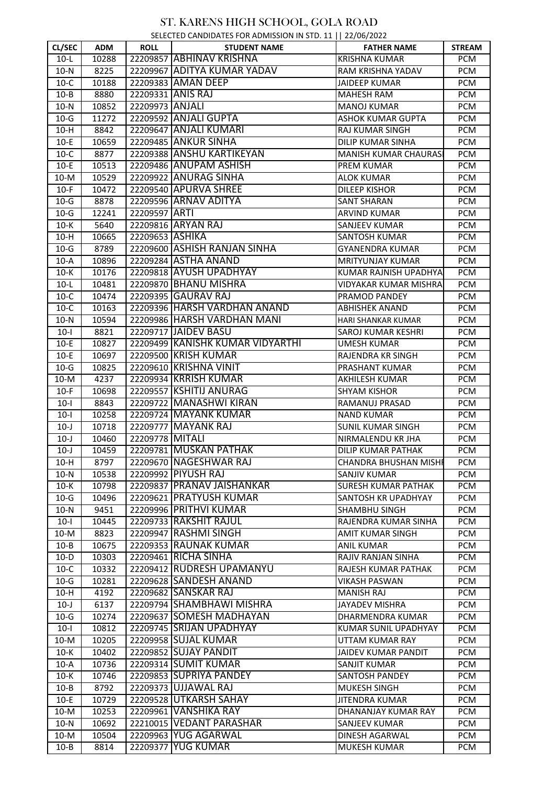| SELECTED CANDIDATES FOR ADMISSION IN STD. 11   22/06/2022 |  |  |
|-----------------------------------------------------------|--|--|
|                                                           |  |  |

|          |            |                 | $5$ LLLCTLD CANDIDATES FOR ADIVISSION TIME TO ALL $\frac{1}{11}$ LLCTCOT LOLL |                              |               |
|----------|------------|-----------------|-------------------------------------------------------------------------------|------------------------------|---------------|
| CL/SEC   | <b>ADM</b> | <b>ROLL</b>     | <b>STUDENT NAME</b>                                                           | <b>FATHER NAME</b>           | <b>STREAM</b> |
| $10-L$   | 10288      |                 | 22209857 ABHINAV KRISHNA                                                      | <b>KRISHNA KUMAR</b>         | <b>PCM</b>    |
| $10-N$   | 8225       |                 | 22209967 ADITYA KUMAR YADAV                                                   | RAM KRISHNA YADAV            | <b>PCM</b>    |
| $10-C$   | 10188      |                 | 22209383 AMAN DEEP                                                            | <b>JAIDEEP KUMAR</b>         | <b>PCM</b>    |
| $10 - B$ | 8880       |                 | 22209331 ANIS RAJ                                                             | MAHESH RAM                   | <b>PCM</b>    |
| $10-N$   | 10852      | 22209973 ANJALI |                                                                               | <b>MANOJ KUMAR</b>           | <b>PCM</b>    |
| $10-G$   | 11272      |                 | 22209592 ANJALI GUPTA                                                         | <b>ASHOK KUMAR GUPTA</b>     | <b>PCM</b>    |
| $10-H$   | 8842       |                 | 22209647 ANJALI KUMARI                                                        | RAJ KUMAR SINGH              | <b>PCM</b>    |
| $10-E$   | 10659      |                 | 22209485 ANKUR SINHA                                                          | DILIP KUMAR SINHA            | <b>PCM</b>    |
| $10-C$   | 8877       |                 | 22209388 ANSHU KARTIKEYAN                                                     | <b>MANISH KUMAR CHAURAS</b>  | <b>PCM</b>    |
| $10-E$   | 10513      |                 | 22209486 ANUPAM ASHISH                                                        | PREM KUMAR                   | PCM           |
| $10-M$   | 10529      |                 | 22209922 ANURAG SINHA                                                         | <b>ALOK KUMAR</b>            | <b>PCM</b>    |
| $10-F$   | 10472      |                 | 22209540 APURVA SHREE                                                         | DILEEP KISHOR                | <b>PCM</b>    |
|          |            |                 | 22209596 ARNAV ADITYA                                                         |                              |               |
| $10-G$   | 8878       |                 |                                                                               | <b>SANT SHARAN</b>           | <b>PCM</b>    |
| $10-G$   | 12241      | 22209597 ARTI   |                                                                               | <b>ARVIND KUMAR</b>          | <b>PCM</b>    |
| $10-K$   | 5640       |                 | 22209816 ARYAN RAJ                                                            | SANJEEV KUMAR                | <b>PCM</b>    |
| $10-H$   | 10665      | 22209653 ASHIKA |                                                                               | SANTOSH KUMAR                | <b>PCM</b>    |
| $10-G$   | 8789       |                 | 22209600 ASHISH RANJAN SINHA                                                  | GYANENDRA KUMAR              | <b>PCM</b>    |
| $10-A$   | 10896      |                 | 22209284 ASTHA ANAND                                                          | MRITYUNJAY KUMAR             | <b>PCM</b>    |
| $10-K$   | 10176      |                 | 22209818 AYUSH UPADHYAY                                                       | KUMAR RAJNISH UPADHYA        | <b>PCM</b>    |
| $10-L$   | 10481      |                 | 22209870 BHANU MISHRA                                                         | VIDYAKAR KUMAR MISHRA        | <b>PCM</b>    |
| $10-C$   | 10474      |                 | 22209395 GAURAV RAJ                                                           | PRAMOD PANDEY                | <b>PCM</b>    |
| $10-C$   | 10163      |                 | 22209396 HARSH VARDHAN ANAND                                                  | <b>ABHISHEK ANAND</b>        | <b>PCM</b>    |
| $10-N$   | 10594      |                 | 22209986 HARSH VARDHAN MANI                                                   | HARI SHANKAR KUMAR           | <b>PCM</b>    |
| $10-I$   | 8821       |                 | 22209717 JAIDEV BASU                                                          | SAROJ KUMAR KESHRI           | <b>PCM</b>    |
| $10-E$   | 10827      |                 | 22209499 KANISHK KUMAR VIDYARTHI                                              | <b>UMESH KUMAR</b>           | <b>PCM</b>    |
| $10-E$   | 10697      |                 | 22209500 KRISH KUMAR                                                          | <b>RAJENDRA KR SINGH</b>     | <b>PCM</b>    |
| $10-G$   | 10825      |                 | 22209610 KRISHNA VINIT                                                        | PRASHANT KUMAR               | <b>PCM</b>    |
| $10-M$   | 4237       |                 | 22209934 KRRISH KUMAR                                                         | AKHILESH KUMAR               | PCM           |
| $10-F$   | 10698      |                 | 22209557 KSHITIJ ANURAG                                                       | <b>SHYAM KISHOR</b>          | <b>PCM</b>    |
| $10-I$   | 8843       |                 | 22209722 MANASHWI KIRAN                                                       | RAMANUJ PRASAD               | <b>PCM</b>    |
| $10-I$   | 10258      |                 | 22209724 MAYANK KUMAR                                                         | <b>NAND KUMAR</b>            | <b>PCM</b>    |
| $10-J$   | 10718      |                 | 22209777 MAYANK RAJ                                                           | <b>SUNIL KUMAR SINGH</b>     | PCM           |
| $10-J$   | 10460      | 22209778 MITALI |                                                                               | NIRMALENDU KR JHA            | <b>PCM</b>    |
| $10-J$   | 10459      |                 | 22209781 MUSKAN PATHAK                                                        | <b>DILIP KUMAR PATHAK</b>    | <b>PCM</b>    |
| $10-H$   | 8797       |                 | 22209670 NAGESHWAR RAJ                                                        | <b>CHANDRA BHUSHAN MISHI</b> | <b>PCM</b>    |
| $10-N$   | 10538      |                 | 22209992 PIYUSH RAJ                                                           | SANJIV KUMAR                 | <b>PCM</b>    |
| $10-K$   | 10798      |                 | 22209837 PRANAV JAISHANKAR                                                    | <b>SURESH KUMAR PATHAK</b>   | <b>PCM</b>    |
| $10-G$   | 10496      |                 | 22209621 PRATYUSH KUMAR                                                       | SANTOSH KR UPADHYAY          | <b>PCM</b>    |
| $10-N$   | 9451       |                 | 22209996 PRITHVI KUMAR                                                        | <b>SHAMBHU SINGH</b>         | <b>PCM</b>    |
|          | 10445      |                 | 22209733 RAKSHIT RAJUL                                                        | RAJENDRA KUMAR SINHA         | <b>PCM</b>    |
| $10-I$   |            |                 |                                                                               |                              |               |
| $10-M$   | 8823       |                 | 22209947 RASHMI SINGH                                                         | AMIT KUMAR SINGH             | <b>PCM</b>    |
| $10 - B$ | 10675      |                 | 22209353 RAUNAK KUMAR                                                         | <b>ANIL KUMAR</b>            | <b>PCM</b>    |
| $10-D$   | 10303      |                 | 22209461 RICHA SINHA                                                          | RAJIV RANJAN SINHA           | <b>PCM</b>    |
| $10-C$   | 10332      |                 | 22209412 RUDRESH UPAMANYU                                                     | RAJESH KUMAR PATHAK          | <b>PCM</b>    |
| $10-G$   | 10281      |                 | 22209628 SANDESH ANAND                                                        | VIKASH PASWAN                | <b>PCM</b>    |
| $10-H$   | 4192       |                 | 22209682 SANSKAR RAJ                                                          | <b>MANISH RAJ</b>            | <b>PCM</b>    |
| $10-J$   | 6137       |                 | 22209794 SHAMBHAWI MISHRA                                                     | <b>JAYADEV MISHRA</b>        | <b>PCM</b>    |
| $10-G$   | 10274      |                 | 22209637 SOMESH MADHAYAN                                                      | DHARMENDRA KUMAR             | <b>PCM</b>    |
| $10-I$   | 10812      |                 | 22209745 SRIJAN UPADHYAY                                                      | KUMAR SUNIL UPADHYAY         | <b>PCM</b>    |
| $10-M$   | 10205      |                 | 22209958 SUJAL KUMAR                                                          | UTTAM KUMAR RAY              | <b>PCM</b>    |
| $10-K$   | 10402      |                 | 22209852 SUJAY PANDIT                                                         | <b>JAIDEV KUMAR PANDIT</b>   | <b>PCM</b>    |
| $10-A$   | 10736      |                 | 22209314 SUMIT KUMAR                                                          | SANJIT KUMAR                 | <b>PCM</b>    |
| $10-K$   | 10746      |                 | 22209853 SUPRIYA PANDEY                                                       | SANTOSH PANDEY               | <b>PCM</b>    |
| $10 - B$ | 8792       |                 | 22209373 UJJAWAL RAJ                                                          | MUKESH SINGH                 | <b>PCM</b>    |
| $10-E$   | 10729      |                 | 22209528 UTKARSH SAHAY                                                        | <b>JITENDRA KUMAR</b>        | <b>PCM</b>    |
| $10-M$   | 10253      |                 | 22209961 VANSHIKA RAY                                                         | DHANANJAY KUMAR RAY          | <b>PCM</b>    |
| $10-N$   | 10692      |                 | 22210015 VEDANT PARASHAR                                                      | <b>SANJEEV KUMAR</b>         | <b>PCM</b>    |
| $10-M$   | 10504      |                 | 22209963 YUG AGARWAL                                                          | DINESH AGARWAL               | <b>PCM</b>    |
| $10 - B$ | 8814       |                 | 22209377 YUG KUMAR                                                            | MUKESH KUMAR                 | <b>PCM</b>    |
|          |            |                 |                                                                               |                              |               |